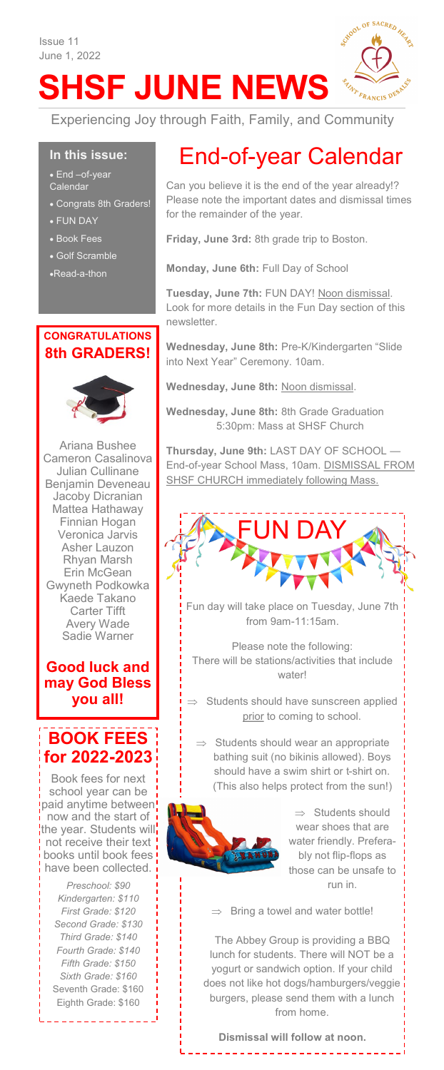# **SHSF JUNE NEWS**



Experiencing Joy through Faith, Family, and Community

#### **In this issue:**

• End –of-year Calendar

- Congrats 8th Graders!
- FUN DAY
- Book Fees
- Golf Scramble
- •Read-a-thon

#### **CONGRATULATIONS 8th GRADERS!**



Ariana Bushee Cameron Casalinova Julian Cullinane Benjamin Deveneau Jacoby Dicranian Mattea Hathaway Finnian Hogan Veronica Jarvis Asher Lauzon Rhyan Marsh Erin McGean Gwyneth Podkowka Kaede Takano Carter Tifft Avery Wade Sadie Warner

### **Good luck and may God Bless you all!**

### **BOOK FEES for 2022-2023**

Book fees for next school year can be paid anytime between! now and the start of the year. Students will not receive their text books until book fees have been collected.

*Preschool: \$90 Kindergarten: \$110 First Grade: \$120 Second Grade: \$130 Third Grade: \$140 Fourth Grade: \$140 Fifth Grade: \$150 Sixth Grade: \$160* Seventh Grade: \$160 Eighth Grade: \$160

# End-of-year Calendar

Can you believe it is the end of the year already!? Please note the important dates and dismissal times for the remainder of the year.

**Friday, June 3rd:** 8th grade trip to Boston.

**Monday, June 6th:** Full Day of School

**Tuesday, June 7th:** FUN DAY! Noon dismissal. Look for more details in the Fun Day section of this newsletter.

**Wednesday, June 8th:** Pre-K/Kindergarten "Slide into Next Year" Ceremony. 10am.

**Wednesday, June 8th:** Noon dismissal.

**Wednesday, June 8th:** 8th Grade Graduation 5:30pm: Mass at SHSF Church

**Thursday, June 9th:** LAST DAY OF SCHOOL — End-of-year School Mass, 10am. DISMISSAL FROM SHSF CHURCH immediately following Mass.



Fun day will take place on Tuesday, June 7th from 9am-11:15am.

Please note the following: There will be stations/activities that include water!

 $\Rightarrow$  Students should have sunscreen applied prior to coming to school.

 $\Rightarrow$  Students should wear an appropriate bathing suit (no bikinis allowed). Boys should have a swim shirt or t-shirt on. (This also helps protect from the sun!)



 $\Rightarrow$  Students should wear shoes that are water friendly. Preferably not flip-flops as those can be unsafe to run in.

 $\Rightarrow$  Bring a towel and water bottle!

The Abbey Group is providing a BBQ lunch for students. There will NOT be a yogurt or sandwich option. If your child does not like hot dogs/hamburgers/veggie burgers, please send them with a lunch from home.

**Dismissal will follow at noon.**